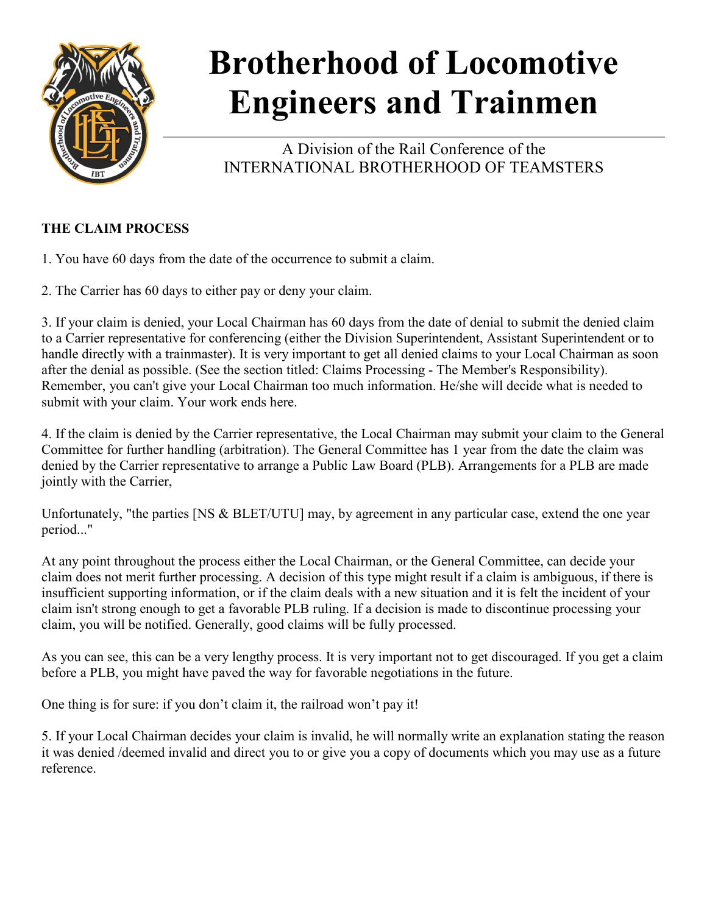

# **Brotherhood of Locomotive Engineers and Trainmen**

A Division of the Rail Conference of the INTERNATIONAL BROTHERHOOD OF TEAMSTERS

## **THE CLAIM PROCESS**

- 1. You have 60 days from the date of the occurrence to submit a claim.
- 2. The Carrier has 60 days to either pay or deny your claim.

3. If your claim is denied, your Local Chairman has 60 days from the date of denial to submit the denied claim to a Carrier representative for conferencing (either the Division Superintendent, Assistant Superintendent or to handle directly with a trainmaster). It is very important to get all denied claims to your Local Chairman as soon after the denial as possible. (See the section titled: Claims Processing - The Member's Responsibility). Remember, you can't give your Local Chairman too much information. He/she will decide what is needed to submit with your claim. Your work ends here.

4. If the claim is denied by the Carrier representative, the Local Chairman may submit your claim to the General Committee for further handling (arbitration). The General Committee has 1 year from the date the claim was denied by the Carrier representative to arrange a Public Law Board (PLB). Arrangements for a PLB are made jointly with the Carrier,

Unfortunately, "the parties [NS & BLET/UTU] may, by agreement in any particular case, extend the one year period..."

At any point throughout the process either the Local Chairman, or the General Committee, can decide your claim does not merit further processing. A decision of this type might result if a claim is ambiguous, if there is insufficient supporting information, or if the claim deals with a new situation and it is felt the incident of your claim isn't strong enough to get a favorable PLB ruling. If a decision is made to discontinue processing your claim, you will be notified. Generally, good claims will be fully processed.

As you can see, this can be a very lengthy process. It is very important not to get discouraged. If you get a claim before a PLB, you might have paved the way for favorable negotiations in the future.

One thing is for sure: if you don't claim it, the railroad won't pay it!

5. If your Local Chairman decides your claim is invalid, he will normally write an explanation stating the reason it was denied /deemed invalid and direct you to or give you a copy of documents which you may use as a future reference.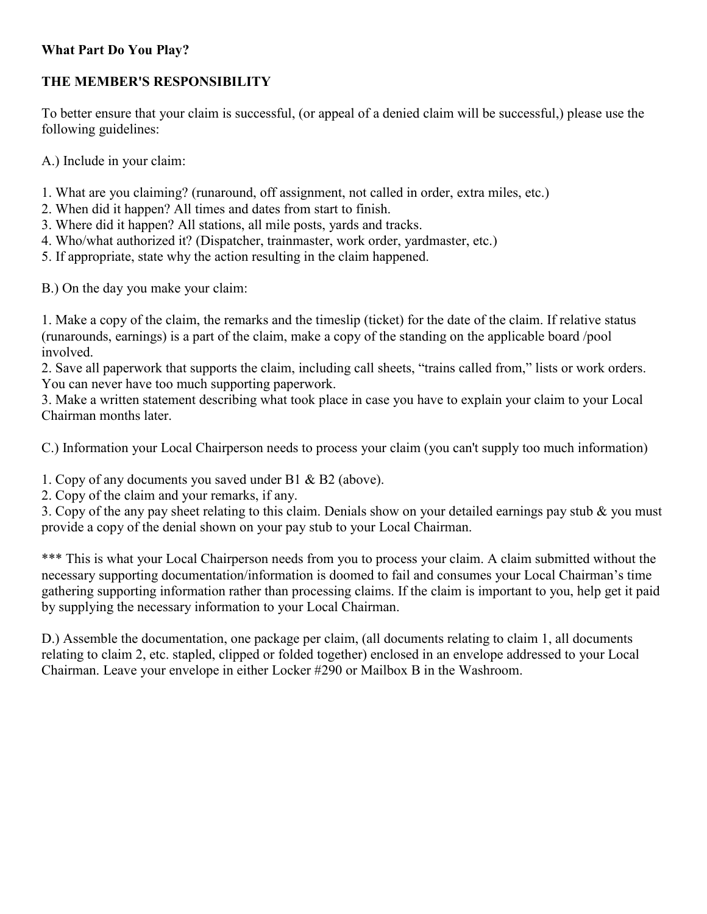### **What Part Do You Play?**

#### **THE MEMBER'S RESPONSIBILITY**

To better ensure that your claim is successful, (or appeal of a denied claim will be successful,) please use the following guidelines:

A.) Include in your claim:

- 1. What are you claiming? (runaround, off assignment, not called in order, extra miles, etc.)
- 2. When did it happen? All times and dates from start to finish.
- 3. Where did it happen? All stations, all mile posts, yards and tracks.
- 4. Who/what authorized it? (Dispatcher, trainmaster, work order, yardmaster, etc.)
- 5. If appropriate, state why the action resulting in the claim happened.
- B.) On the day you make your claim:

1. Make a copy of the claim, the remarks and the timeslip (ticket) for the date of the claim. If relative status (runarounds, earnings) is a part of the claim, make a copy of the standing on the applicable board /pool involved.

2. Save all paperwork that supports the claim, including call sheets, "trains called from," lists or work orders. You can never have too much supporting paperwork.

3. Make a written statement describing what took place in case you have to explain your claim to your Local Chairman months later.

C.) Information your Local Chairperson needs to process your claim (you can't supply too much information)

1. Copy of any documents you saved under B1 & B2 (above).

2. Copy of the claim and your remarks, if any.

3. Copy of the any pay sheet relating to this claim. Denials show on your detailed earnings pay stub & you must provide a copy of the denial shown on your pay stub to your Local Chairman.

\*\*\* This is what your Local Chairperson needs from you to process your claim. A claim submitted without the necessary supporting documentation/information is doomed to fail and consumes your Local Chairman's time gathering supporting information rather than processing claims. If the claim is important to you, help get it paid by supplying the necessary information to your Local Chairman.

D.) Assemble the documentation, one package per claim, (all documents relating to claim 1, all documents relating to claim 2, etc. stapled, clipped or folded together) enclosed in an envelope addressed to your Local Chairman. Leave your envelope in either Locker #290 or Mailbox B in the Washroom.